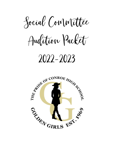Social Committee

Audition Packet

# 2022-2023

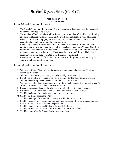## Handbook Requirements for So Co Auditions

### **ARTICLE XVIII (18) LEADERSHIP**

**Section 7.** Social Committee Member(s):

- A. The Social Committee Member(s) of this organization will not have specific ranks and will also be referred to as "SoCo."
- B. The number of SoCo Members will be based upon the number of candidates auditioning and their final score variations in conjunction with a natural break method of scoring based off of the following: judge's interview, SoCo binder, Pinterest boards, room decoration box, and vote among the returning team.
- C. Can be any member of the Golden Girls Organization who has a 2.8 cumulative grade point average at the time of auditions, and who has been a member of Golden Girls for a minimum of one year and must be a member the year preceding their audition. Is of the freshmen, sophomore, or junior classification at the time of auditions and is in "good standing," including but not limited to the financial commitment.
- D. Must not have been on SUSPENSION for demerits or disciplinary reasons during the year in which they audition/ campaign.

**Section 8.** Social Committee Member Duties:

- E. Will meet with the Director(s) to discuss the development and progress of the team at scheduled meetings
- F. Will attend SoCo camp/ workshop as designated by the Director(s).
- G. Each SoCo member is required to pay their expenses for the SoCo camp/ workshop.
- H. Will aid in choosing the Golden Girl and Spirit Girl of the Week.
- I. Will help with the planning and organizing of the annual banquet. Shall act as the team's "Banquet Liaison" to the Golden Girls Booster Club.
- J. Prepares posters and handles the advertising of all Golden Girls 'social events.
- K. Responsible for all correspondence, i.e., thank you notes, get well cards, etc.
- L. Shall be in charge of recognizing team member's birthdays.
- M. Shall be in charge of senior posters.
- N. Shall be in charge of the monthly calendar board in the locker room.
- O. Shall be responsible for taking pictures and video footage of the team at the gatherings for the Golden Girls team video to be presented.
- P. Shall be responsible for the Golden Girls weekly bulletin.
- Q. Shall be responsible for offering motivational activities for the team
- R. Shall be responsible for Golden Girl room decorations.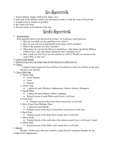## Box Requirements

- 1. Theme (Beach, Jungle, Hollywood, Space, etc.)
- 2. Each side of the shoebox needs to be decorated exactly to what the room will look like.
- 3. It needs to be as realistic as possible.
- 4. Be Creative & Neat!
- 5. Put your name on the bottom of the box.

## Binder Requirements

1. Questionnaire

Each question needs to be answered in at least 3 to 4 sentences and typed out.

- 1. Why do you think you are qualified to be a SoCo?
- 2. How do you feel you would benefit from being a SoCo member?
- 3. What is the purpose of a SoCo member?
- 4. What duties do you feel the Director should have, what duties should the Military Officers have, and what duties should the SoCo members have?
- 5. How would you feel if you are not selected as a SoCo? Would you remain on the team? Why or why not?
- 2. Latest Grade Report
- 3. Demerit Log (Leave an empty spot for the Directors to add yours in)
- 4. Chants

- 2 original chants typed out (You will have 10 minutes to teach one of these to the team and give your speech)

### 5. Canva Print Outs

- 1. Theme Page
	- Color Scheme
	- Fonts
	- Patterns
- 2. Locker Tags
	- 1 option for each (Rookies, Sophomores, Juniors, Seniors, Managers)
- 3. Squad Pillars
	- 1 option for each Military Officer candidate
	- Printed Layout of each Pillar exactly how it will look
- 4. Front Door
	- Printed Layout of the Front Door exactly how it will look
- 5. SoCo Closet Door/Birthday Door
	- 1 option for each Month
	- Printed Layout of the SoCo Closet Door exactly how it will look
- 6. Back Door
	- Printed Layout of the Back Door exactly how it will look
- 7. Mirror Walls

• Printed Layout of the walls above the mirrors exactly how it will look (3 total) 8. Office Wall

• Printed Layout of the Office wall exactly how it will look

6. Speech

Prompt: Tell the team why you would be a great Social Committee Member for the Golden Girls Organization.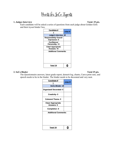Points for So Co Tryouts

## **1. Judges Interview Total: 25 pts.**

Each candidate will be asked a series of questions from each judge about Golden Girls and their tryout binder/ box.

| Candidate #                                    |          |  |  |  |  |
|------------------------------------------------|----------|--|--|--|--|
|                                                | Judge #1 |  |  |  |  |
| Judge's Interview-25                           |          |  |  |  |  |
| <b>Responsibility/ Overall</b><br>Impression-5 |          |  |  |  |  |
| Confidence/<br>Personality- 10                 |          |  |  |  |  |
| <b>Clear/ Appropriate</b><br>Answers-10        |          |  |  |  |  |
| <b>Additional Comments:</b>                    |          |  |  |  |  |
|                                                |          |  |  |  |  |
| Total/ 25                                      |          |  |  |  |  |

## **2. SoCo Binder Total 25 pts.**

The Questionnaire answers, latest grade report, demerit log, chants, Canva print outs, and speech needs to be in the binder. The binder needs to be decorated and very neat.

| Candidate #                 | Judge #1 |  |  |  |  |  |  |
|-----------------------------|----------|--|--|--|--|--|--|
|                             |          |  |  |  |  |  |  |
| SoCo Binder-25              |          |  |  |  |  |  |  |
| Organized/Decorated-5       |          |  |  |  |  |  |  |
| Creativity- 5               |          |  |  |  |  |  |  |
| <b>Coherent Theme-5</b>     |          |  |  |  |  |  |  |
| <b>Clear/ Appropriate</b>   |          |  |  |  |  |  |  |
| Answers- 5                  |          |  |  |  |  |  |  |
| <b>Completion -5</b>        |          |  |  |  |  |  |  |
| <b>Additional Comments:</b> |          |  |  |  |  |  |  |
|                             |          |  |  |  |  |  |  |
| Total/ 25                   |          |  |  |  |  |  |  |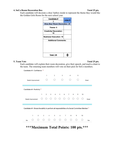### **4. SoCo Room Decoration Box Total 25 pts.**

Each candidate will decorate a shoe/ hatbox inside to represent the theme they would like the Golden Girls Room for the next school year.



### **5. Team Vote** Total 25 pts.

Each candidate will explain their room decoration, give their speech, and teach a chant to the team. The returning team members will vote on their pick for SoCo members.

| Candidate #1- Confidence * |                                                                                                |            |   |                |                 |                   |                 |             |                |   |   |    |       |
|----------------------------|------------------------------------------------------------------------------------------------|------------|---|----------------|-----------------|-------------------|-----------------|-------------|----------------|---|---|----|-------|
|                            | Needs Improvement                                                                              |            |   | 1              |                 | $\overline{2}$    |                 | 3<br>$\Box$ | 4              |   | 5 |    | Great |
| Candidate #1- Positivity * |                                                                                                |            |   |                |                 |                   |                 |             |                |   |   |    |       |
|                            |                                                                                                |            | 1 | $\overline{2}$ | 3               | $4\overline{ }$   | 5               | 6           | $\overline{7}$ | 8 | 9 | 10 |       |
|                            | Needs Improvement                                                                              |            |   |                |                 | 0 0 0 0 0 0 0 0 0 |                 |             |                |   |   |    | Great |
|                            |                                                                                                |            |   |                |                 |                   |                 |             |                |   |   |    |       |
|                            | Candidate #1- Shows the ability to perform all responsibilities of a Social Committee Member * |            |   |                |                 |                   |                 |             |                |   |   |    |       |
|                            |                                                                                                |            |   |                |                 |                   |                 |             |                |   |   |    |       |
|                            | 1                                                                                              | $2^{\sim}$ |   | $3^{\circ}$    | $4\overline{ }$ | 5 <sub>5</sub>    | $6\overline{6}$ | 7           |                | 8 | 9 | 10 |       |
| No                         |                                                                                                |            |   |                | ∩               | ∩                 | ∩               | ∩           |                |   |   |    | Yes   |
|                            |                                                                                                |            |   |                |                 |                   |                 |             |                |   |   |    |       |

**\*\*\*Maximum Total Points: 100 pts.\*\*\***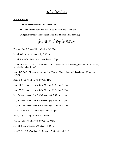## SoCo Auditions

### **What to Wear:**

- **Team Speech:** Morning practice clothes
- **Director Interview:** Fixed hair, fixed makeup, and school clothes
- **Judges Interview:** Professional dress, fixed hair and fixed makeup

Important Dates (Tentative)

February 16- SoCo Audition Meeting  $\omega$  3:00pm

March 4- Letter of Intent due by 3:00pm

March 25- SoCo binders and boxes due by 3:00pm

March 28-April 1- Teach Team Chants/ Give Speeches during Morning Practice (times and days based off number drawn)

April 4-7- SoCo Director Interviews @ 4:00pm- 5:00pm (times and days based off number drawn)

April 8- SoCo Auditions @ 4:00pm- TBD

April 11- Veteran and New SoCo Meeting @ 2:45pm-3:00pm

April 25- Veteran and New SoCo Meeting @ 2:45pm-3:00pm

May 2- Veteran and New SoCo Meeting @ 2:45pm-3:15pm

May 9- Veteran and New SoCo Meeting @ 2:45pm-3:15pm

May 16- Veteran and New SoCo Meeting @ 2:45pm-3:15pm

May 31-June 2- SoCo Camp @ 8:00am- 2:00pm

June 3- SoCo Camp @ 8:00am- 5:00pm

June 13- SoCo Workday @ 8:00am- 12:00pm

July 11- SoCo Workday @ 8:00am- 12:00pm

June 13-15- SoCo Workday @ 8:00am- 12:00pm (IF NEEDED)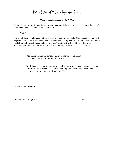Parent Social Media Release Form

## *This form is due March 4th by 3:00pm*

For our Social Committee auditions, we have incorporated a section that will require the use of some social media accounts but not limited to:

- Canva

The use of these social media platforms is for creating purposes only. No personal accounts will be posted, and no items will need to be posted online. If not given permission, the required items needed for auditions still need to be completed. The student will need to use other means to fulfill the requirements. This letter will cover the entirety of the 2022-2023 school year.

Yes, I give permission for my student to use the social media accounts needed for this audition process.

No, I do not give permission for my student to use social media accounts needed for this audition process. I understand all requirements will still need to be completed without the use of social media.

Student Name (Printed)

Parent/ Guardian Signature Date